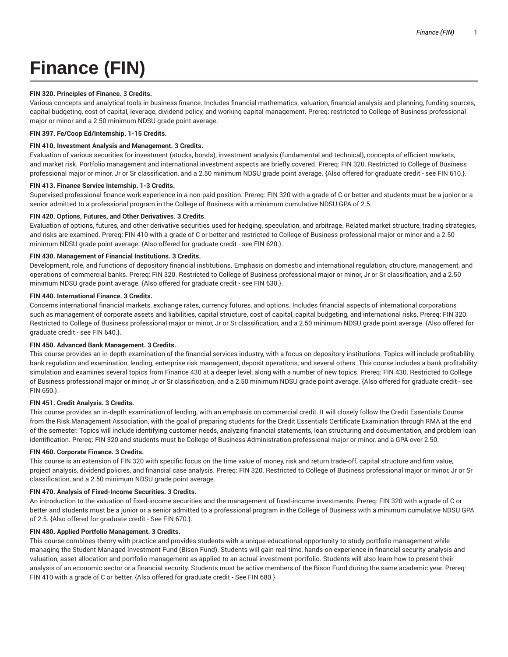# **Finance (FIN)**

# **FIN 320. Principles of Finance. 3 Credits.**

Various concepts and analytical tools in business finance. Includes financial mathematics, valuation, financial analysis and planning, funding sources, capital budgeting, cost of capital, leverage, dividend policy, and working capital management. Prereq: restricted to College of Business professional major or minor and a 2.50 minimum NDSU grade point average.

## **FIN 397. Fe/Coop Ed/Internship. 1-15 Credits.**

# **FIN 410. Investment Analysis and Management. 3 Credits.**

Evaluation of various securities for investment (stocks, bonds), investment analysis (fundamental and technical), concepts of efficient markets, and market risk. Portfolio management and international investment aspects are briefly covered. Prereq: FIN 320. Restricted to College of Business professional major or minor, Jr or Sr classification, and a 2.50 minimum NDSU grade point average. {Also offered for graduate credit - see FIN 610.}.

## **FIN 413. Finance Service Internship. 1-3 Credits.**

Supervised professional finance work experience in a non-paid position. Prereq: FIN 320 with a grade of C or better and students must be a junior or a senior admitted to a professional program in the College of Business with a minimum cumulative NDSU GPA of 2.5.

#### **FIN 420. Options, Futures, and Other Derivatives. 3 Credits.**

Evaluation of options, futures, and other derivative securities used for hedging, speculation, and arbitrage. Related market structure, trading strategies, and risks are examined. Prereq: FIN 410 with a grade of C or better and restricted to College of Business professional major or minor and a 2.50 minimum NDSU grade point average. {Also offered for graduate credit - see FIN 620.}.

## **FIN 430. Management of Financial Institutions. 3 Credits.**

Development, role, and functions of depository financial institutions. Emphasis on domestic and international regulation, structure, management, and operations of commercial banks. Prereq: FIN 320. Restricted to College of Business professional major or minor, Jr or Sr classification, and a 2.50 minimum NDSU grade point average. {Also offered for graduate credit - see FIN 630.}.

## **FIN 440. International Finance. 3 Credits.**

Concerns international financial markets, exchange rates, currency futures, and options. Includes financial aspects of international corporations such as management of corporate assets and liabilities, capital structure, cost of capital, capital budgeting, and international risks. Prereq: FIN 320. Restricted to College of Business professional major or minor, Jr or Sr classification, and a 2.50 minimum NDSU grade point average. {Also offered for graduate credit - see FIN 640.}.

## **FIN 450. Advanced Bank Management. 3 Credits.**

This course provides an in-depth examination of the financial services industry, with a focus on depository institutions. Topics will include profitability, bank regulation and examination, lending, enterprise risk management, deposit operations, and several others. This course includes a bank profitability simulation and examines several topics from Finance 430 at a deeper level, along with a number of new topics. Prereq: FIN 430. Restricted to College of Business professional major or minor, Jr or Sr classification, and a 2.50 minimum NDSU grade point average. {Also offered for graduate credit - see FIN 650.}.

## **FIN 451. Credit Analysis. 3 Credits.**

This course provides an in-depth examination of lending, with an emphasis on commercial credit. It will closely follow the Credit Essentials Course from the Risk Management Association, with the goal of preparing students for the Credit Essentials Certificate Examination through RMA at the end of the semester. Topics will include identifying customer needs, analyzing financial statements, loan structuring and documentation, and problem loan identification. Prereq: FIN 320 and students must be College of Business Administration professional major or minor, and a GPA over 2.50.

## **FIN 460. Corporate Finance. 3 Credits.**

This course is an extension of FIN 320 with specific focus on the time value of money, risk and return trade-off, capital structure and firm value, project analysis, dividend policies, and financial case analysis. Prereq: FIN 320. Restricted to College of Business professional major or minor, Jr or Sr classification, and a 2.50 minimum NDSU grade point average.

## **FIN 470. Analysis of Fixed-Income Securities. 3 Credits.**

An introduction to the valuation of fixed-income securities and the management of fixed-income investments. Prereq: FIN 320 with a grade of C or better and students must be a junior or a senior admitted to a professional program in the College of Business with a minimum cumulative NDSU GPA of 2.5. {Also offered for graduate credit - See FIN 670.}.

## **FIN 480. Applied Portfolio Management. 3 Credits.**

This course combines theory with practice and provides students with a unique educational opportunity to study portfolio management while managing the Student Managed Investment Fund (Bison Fund). Students will gain real-time, hands-on experience in financial security analysis and valuation, asset allocation and portfolio management as applied to an actual investment portfolio. Students will also learn how to present their analysis of an economic sector or a financial security. Students must be active members of the Bison Fund during the same academic year. Prereq: FIN 410 with a grade of C or better. {Also offered for graduate credit - See FIN 680.}.